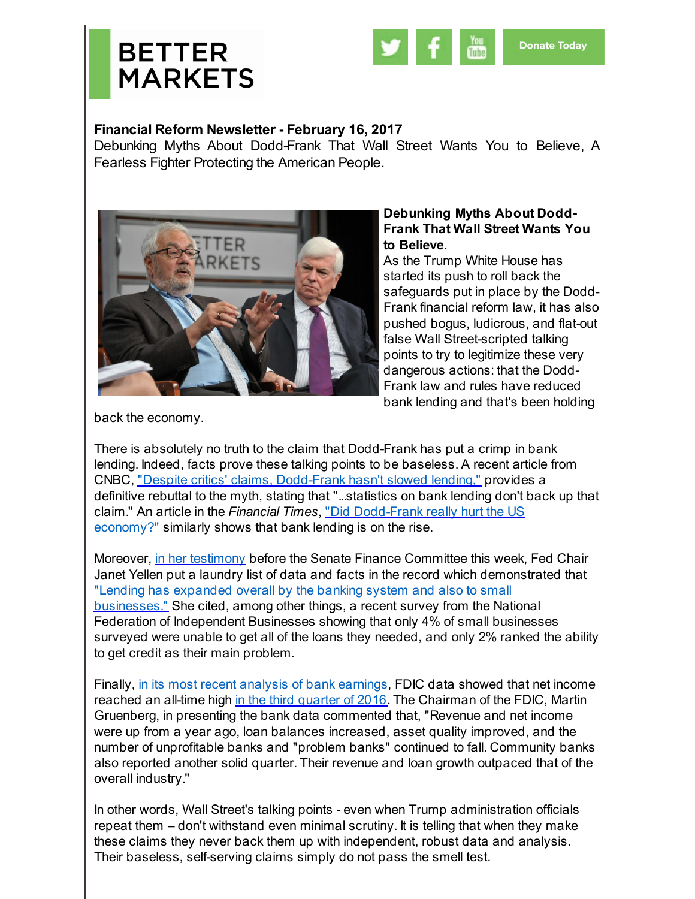



## **Financial Reform Newsletter - February 16, 2017**

Debunking Myths About Dodd-Frank That Wall Street Wants You to Believe, A Fearless Fighter Protecting the American People.



## **Debunking Myths About Dodd-Frank That Wall Street Wants You to Believe.**

As the Trump White House has started its push to roll back the safeguards put in place by the Dodd-Frank financial reform law, it has also pushed bogus, ludicrous, and flat-out false Wall Street-scripted talking points to try to legitimize these very dangerous actions: that the Dodd-Frank law and rules have reduced bank lending and that's been holding

back the economy.

There is absolutely no truth to the claim that Dodd-Frank has put a crimp in bank lending. Indeed, facts prove these talking points to be baseless. A recent article from CNBC, "Despite critics' claims, [Dodd-Frank](http://r20.rs6.net/tn.jsp?f=001j4Uhk71sCm7FyxFEPCKnHJ46Jg5R4JbyJTQzd_5f5YC2VqkYZOI1JZd1IC8dL05WsTdUQyxxVmHW63ztrsPP1h305MQnEIUD-ESV1wwT57JsufRFJ1mfKr3sdPwrFHGM_dhHNP_c6WbEMFJgjfHZ69DyOekGRRQAOEkTtrHkCWycmkr-Dukut2UtMrxLaX58WGmjA0BsKjjS5A_AbzP1q5BmOWLmm5ZrZBnwLnCkQFHNjqIMKVyE2w==&c=&ch=) hasn't slowed lending," provides a definitive rebuttal to the myth, stating that "...statistics on bank lending don't back up that claim." An article in the *Financial Times*, "Did [Dodd-Frank](http://r20.rs6.net/tn.jsp?f=001j4Uhk71sCm7FyxFEPCKnHJ46Jg5R4JbyJTQzd_5f5YC2VqkYZOI1JZd1IC8dL05WZcexuq29QWYOrbOencVDbjyiRXJ7FNDGmxVuvUYPxOI2tl5qN4-zNBWvxhlhRKS6KIU0R1FEsJa_d_wj6x9oMOouCRjbfo-5bmxHPlSMjfAIL0K534Jtj0r2fn-haUfYqqLPjyc0iVGtf8bjfWpQABotAkhMYfvM&c=&ch=) really hurt the US economy?" similarly shows that bank lending is on the rise.

Moreover, in her [testimony](http://r20.rs6.net/tn.jsp?f=001j4Uhk71sCm7FyxFEPCKnHJ46Jg5R4JbyJTQzd_5f5YC2VqkYZOI1JZd1IC8dL05WxNkRxGeRJqjzsKYMu-SoLC8XVozhbjs6TQ4Zvz0TOmqmOwFppaZjZ1gAkfAxRlFWOh05qa_b2NFQ5pCguY7k7XS1wEYau2lWas814aV52cZziF-3zdvd7g2dMKzjqWNkfCvsQeX0OmzD8bk4E8alE3ncliYSxZDiKvA9Y91uj2rNznKGmeZ3OQ==&c=&ch=) before the Senate Finance Committee this week, Fed Chair Janet Yellen put a laundry list of data and facts in the record which demonstrated that "Lending has expanded overall by the banking system and also to small [businesses."](http://r20.rs6.net/tn.jsp?f=001j4Uhk71sCm7FyxFEPCKnHJ46Jg5R4JbyJTQzd_5f5YC2VqkYZOI1JZd1IC8dL05WbVJ9h0K871OGlDvbAbWS1CsTsXuKgaV4gG89Cl8PX1UpPqB0--AAng0xElkyiPz5sOhLo0C11mmWnVIAka9l_xgyBXCGVqeUigrNtvpBG9bMyTUhzeLcv7UbDbaX6O0hHDZ4Cmlob9gqJxU8j5-WEXulj7hQkCGEsazHmNit-qH67nYdiePJbY75cfj1Roa5&c=&ch=) She cited, among other things, a recent survey from the National Federation of Independent Businesses showing that only 4% of small businesses surveyed were unable to get all of the loans they needed, and only 2% ranked the ability to get credit as their main problem.

Finally, in its most recent analysis of bank [earnings](http://r20.rs6.net/tn.jsp?f=001j4Uhk71sCm7FyxFEPCKnHJ46Jg5R4JbyJTQzd_5f5YC2VqkYZOI1JZd1IC8dL05WCszgHPyggRfeg5u8GhUVbjrEeOxazLVNqbOywi9yDvLgULGt7aaOSD_GzZV25gqqDvY5NifA1JHAuFOLKWY9ZOBoSrb9eFPkBMQFrMzGjieyblgxloCnO4liflmsANsCyKds_i_atTd4FFVV_jlDpey2G6wHFh6p9gDVPe5sFTxko22EHulYAZAzWbnsuOtQpoKsGQkzoIA=&c=&ch=), FDIC data showed that net income reached an all-time high in the third [quarter](http://r20.rs6.net/tn.jsp?f=001j4Uhk71sCm7FyxFEPCKnHJ46Jg5R4JbyJTQzd_5f5YC2VqkYZOI1JZd1IC8dL05WdxY135UXYFjuKhrOMUzhW6dxCNmq2MNf4rPzHl5p_sRsBuyU96AsLlMewZrB9aRxLYTdk732JrtuooqX5sCaO3aGWVpXKFdex4DiZI_yTRMs5LHi2t8TwZg4lpEU2IPuQrg8TVmkeLZcsYigYhlnJjYjl7JWBfNm&c=&ch=) of 2016. The Chairman of the FDIC, Martin Gruenberg, in presenting the bank data commented that, "Revenue and net income were up from a year ago, loan balances increased, asset quality improved, and the number of unprofitable banks and "problem banks" continued to fall. Community banks also reported another solid quarter. Their revenue and loan growth outpaced that of the overall industry."

In other words, Wall Street's talking points - even when Trump administration officials repeat them - don't withstand even minimal scrutiny. It is telling that when they make these claims they never back them up with independent, robust data and analysis. Their baseless, self-serving claims simply do not pass the smell test.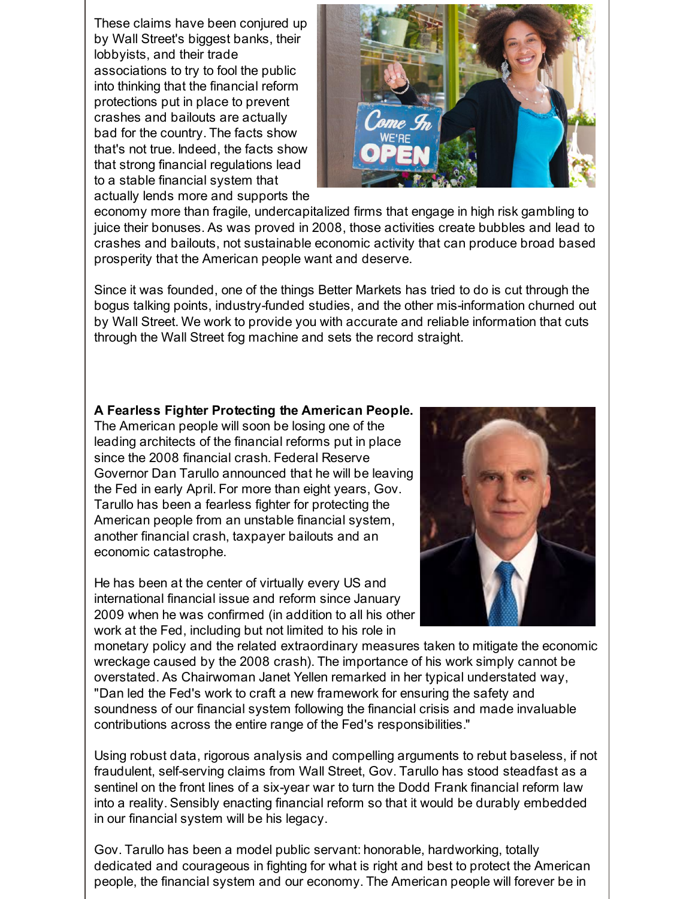These claims have been conjured up by Wall Street's biggest banks, their lobbyists, and their trade associations to try to fool the public into thinking that the financial reform protections put in place to prevent crashes and bailouts are actually bad for the country. The facts show that's not true. Indeed, the facts show that strong financial regulations lead to a stable financial system that actually lends more and supports the



economy more than fragile, undercapitalized firms that engage in high risk gambling to juice their bonuses. As was proved in 2008, those activities create bubbles and lead to crashes and bailouts, not sustainable economic activity that can produce broad based prosperity that the American people want and deserve.

Since it was founded, one of the things Better Markets has tried to do is cut through the bogus talking points, industry-funded studies, and the other mis-information churned out by Wall Street. We work to provide you with accurate and reliable information that cuts through the Wall Street fog machine and sets the record straight.

## **A Fearless Fighter Protecting the American People.**

The American people will soon be losing one of the leading architects of the financial reforms put in place since the 2008 financial crash. Federal Reserve Governor Dan Tarullo announced that he will be leaving the Fed in early April. For more than eight years, Gov. Tarullo has been a fearless fighter for protecting the American people from an unstable financial system, another financial crash, taxpayer bailouts and an economic catastrophe.

He has been at the center of virtually every US and international financial issue and reform since January 2009 when he was confirmed (in addition to all his other work at the Fed, including but not limited to his role in



monetary policy and the related extraordinary measures taken to mitigate the economic wreckage caused by the 2008 crash). The importance of his work simply cannot be overstated. As Chairwoman Janet Yellen remarked in her typical understated way, "Dan led the Fed's work to craft a new framework for ensuring the safety and soundness of our financial system following the financial crisis and made invaluable contributions across the entire range of the Fed's responsibilities."

Using robust data, rigorous analysis and compelling arguments to rebut baseless, if not fraudulent, self-serving claims from Wall Street, Gov. Tarullo has stood steadfast as a sentinel on the front lines of a six-year war to turn the Dodd Frank financial reform law into a reality. Sensibly enacting financial reform so that it would be durably embedded in our financial system will be his legacy.

Gov. Tarullo has been a model public servant: honorable, hardworking, totally dedicated and courageous in fighting for what is right and best to protect the American people, the financial system and our economy. The American people will forever be in